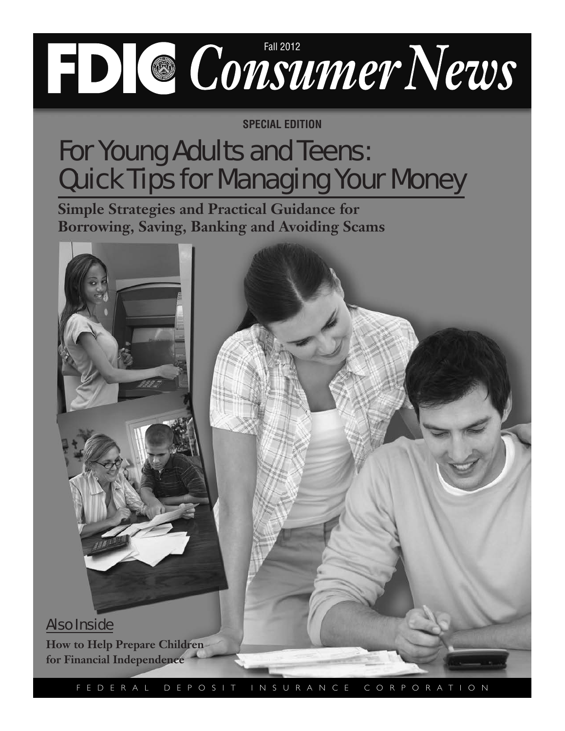

**SPECIAL EDITION**

# For Young Adults and Teens: Quick Tips for Managing Your Money

**Simple Strategies and Practical Guidance for Borrowing, Saving, Banking and Avoiding Scams**

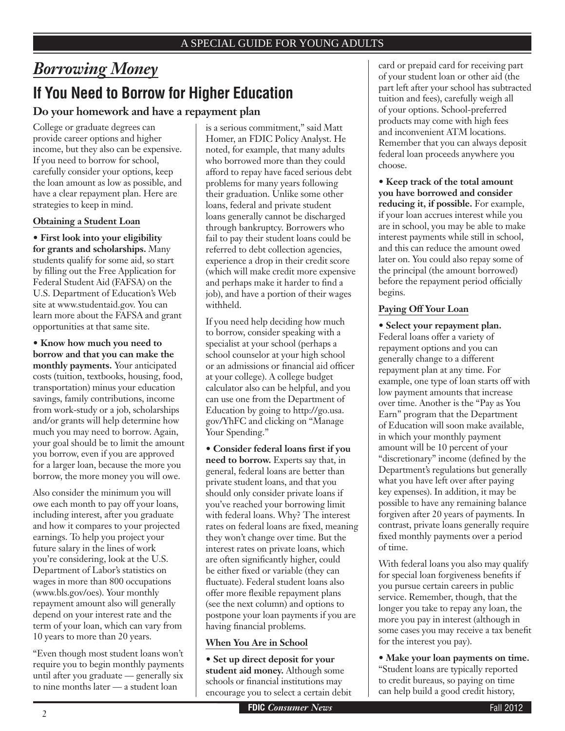## *Borrowing Money* **If You Need to Borrow for Higher Education**

#### **Do your homework and have a repayment plan**

College or graduate degrees can provide career options and higher income, but they also can be expensive. If you need to borrow for school, carefully consider your options, keep the loan amount as low as possible, and have a clear repayment plan. Here are strategies to keep in mind.

#### **Obtaining a Student Loan**

**• First look into your eligibility for grants and scholarships.** Many students qualify for some aid, so start by filling out the Free Application for Federal Student Aid (FAFSA) on the U.S. Department of Education's Web site at www.studentaid.gov. You can learn more about the FAFSA and grant opportunities at that same site.

**• Know how much you need to borrow and that you can make the monthly payments.** Your anticipated costs (tuition, textbooks, housing, food, transportation) minus your education savings, family contributions, income from work-study or a job, scholarships and/or grants will help determine how much you may need to borrow. Again, your goal should be to limit the amount you borrow, even if you are approved for a larger loan, because the more you borrow, the more money you will owe.

Also consider the minimum you will owe each month to pay off your loans, including interest, after you graduate and how it compares to your projected earnings. To help you project your future salary in the lines of work you're considering, look at the U.S. Department of Labor's statistics on wages in more than 800 occupations (www.bls.gov/oes). Your monthly repayment amount also will generally depend on your interest rate and the term of your loan, which can vary from 10 years to more than 20 years.

"Even though most student loans won't require you to begin monthly payments until after you graduate — generally six to nine months later — a student loan

is a serious commitment," said Matt Homer, an FDIC Policy Analyst. He noted, for example, that many adults who borrowed more than they could afford to repay have faced serious debt problems for many years following their graduation. Unlike some other loans, federal and private student loans generally cannot be discharged through bankruptcy. Borrowers who fail to pay their student loans could be referred to debt collection agencies, experience a drop in their credit score (which will make credit more expensive and perhaps make it harder to find a job), and have a portion of their wages withheld.

If you need help deciding how much to borrow, consider speaking with a specialist at your school (perhaps a school counselor at your high school or an admissions or financial aid officer at your college). A college budget calculator also can be helpful, and you can use one from the Department of Education by going to http://go.usa. gov/YhFC and clicking on "Manage Your Spending."

**• Consider federal loans first if you need to borrow.** Experts say that, in general, federal loans are better than private student loans, and that you should only consider private loans if you've reached your borrowing limit with federal loans. Why? The interest rates on federal loans are fixed, meaning they won't change over time. But the interest rates on private loans, which are often significantly higher, could be either fixed or variable (they can fluctuate). Federal student loans also offer more flexible repayment plans (see the next column) and options to postpone your loan payments if you are having financial problems.

#### **When You Are in School**

**• Set up direct deposit for your student aid money.** Although some schools or financial institutions may encourage you to select a certain debit card or prepaid card for receiving part of your student loan or other aid (the part left after your school has subtracted tuition and fees), carefully weigh all of your options. School-preferred products may come with high fees and inconvenient ATM locations. Remember that you can always deposit federal loan proceeds anywhere you choose.

**• Keep track of the total amount you have borrowed and consider reducing it, if possible.** For example, if your loan accrues interest while you are in school, you may be able to make interest payments while still in school, and this can reduce the amount owed later on. You could also repay some of the principal (the amount borrowed) before the repayment period officially begins.

#### **Paying Off Your Loan**

**• Select your repayment plan.**  Federal loans offer a variety of repayment options and you can generally change to a different repayment plan at any time. For example, one type of loan starts off with low payment amounts that increase over time. Another is the "Pay as You Earn" program that the Department of Education will soon make available, in which your monthly payment amount will be 10 percent of your "discretionary" income (defined by the Department's regulations but generally what you have left over after paying key expenses). In addition, it may be possible to have any remaining balance forgiven after 20 years of payments. In contrast, private loans generally require fixed monthly payments over a period of time.

With federal loans you also may qualify for special loan forgiveness benefits if you pursue certain careers in public service. Remember, though, that the longer you take to repay any loan, the more you pay in interest (although in some cases you may receive a tax benefit for the interest you pay).

**• Make your loan payments on time.** "Student loans are typically reported to credit bureaus, so paying on time can help build a good credit history,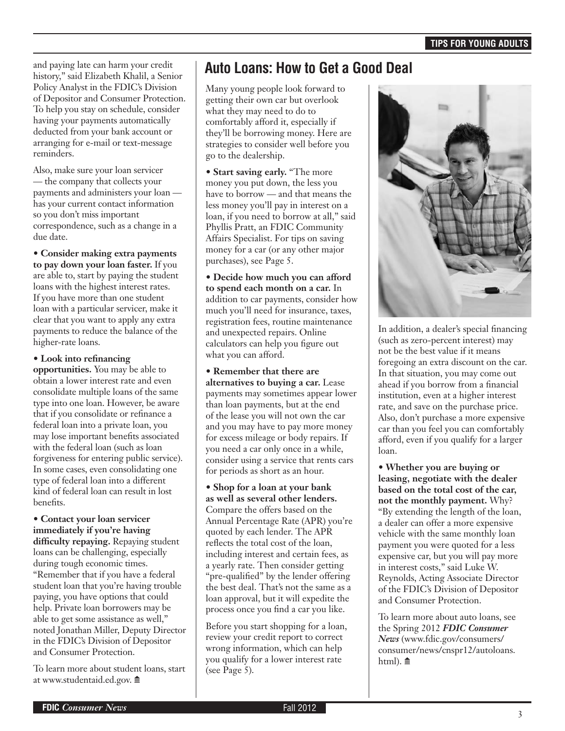and paying late can harm your credit history," said Elizabeth Khalil, a Senior Policy Analyst in the FDIC's Division of Depositor and Consumer Protection. To help you stay on schedule, consider having your payments automatically deducted from your bank account or arranging for e-mail or text-message reminders.

Also, make sure your loan servicer — the company that collects your payments and administers your loan has your current contact information so you don't miss important correspondence, such as a change in a due date.

**• Consider making extra payments to pay down your loan faster.** If you are able to, start by paying the student loans with the highest interest rates. If you have more than one student loan with a particular servicer, make it clear that you want to apply any extra payments to reduce the balance of the higher-rate loans.

**• Look into refinancing opportunities.** You may be able to obtain a lower interest rate and even consolidate multiple loans of the same type into one loan. However, be aware that if you consolidate or refinance a federal loan into a private loan, you may lose important benefits associated with the federal loan (such as loan forgiveness for entering public service). In some cases, even consolidating one type of federal loan into a different kind of federal loan can result in lost benefits.

**• Contact your loan servicer immediately if you're having difficulty repaying.** Repaying student loans can be challenging, especially during tough economic times. "Remember that if you have a federal student loan that you're having trouble paying, you have options that could help. Private loan borrowers may be able to get some assistance as well," noted Jonathan Miller, Deputy Director in the FDIC's Division of Depositor and Consumer Protection.

To learn more about student loans, start at www.studentaid.ed.gov.

### **Auto Loans: How to Get a Good Deal**

Many young people look forward to getting their own car but overlook what they may need to do to comfortably afford it, especially if they'll be borrowing money. Here are strategies to consider well before you go to the dealership.

**• Start saving early.** "The more money you put down, the less you have to borrow — and that means the less money you'll pay in interest on a loan, if you need to borrow at all," said Phyllis Pratt, an FDIC Community Affairs Specialist. For tips on saving money for a car (or any other major purchases), see Page 5.

**• Decide how much you can afford to spend each month on a car.** In addition to car payments, consider how much you'll need for insurance, taxes, registration fees, routine maintenance and unexpected repairs. Online calculators can help you figure out what you can afford.

**• Remember that there are alternatives to buying a car.** Lease payments may sometimes appear lower than loan payments, but at the end of the lease you will not own the car and you may have to pay more money for excess mileage or body repairs. If you need a car only once in a while, consider using a service that rents cars for periods as short as an hour.

**• Shop for a loan at your bank as well as several other lenders.** Compare the offers based on the Annual Percentage Rate (APR) you're quoted by each lender. The APR reflects the total cost of the loan, including interest and certain fees, as a yearly rate. Then consider getting "pre-qualified" by the lender offering the best deal. That's not the same as a loan approval, but it will expedite the process once you find a car you like.

Before you start shopping for a loan, review your credit report to correct wrong information, which can help you qualify for a lower interest rate (see Page 5).



In addition, a dealer's special financing (such as zero-percent interest) may not be the best value if it means foregoing an extra discount on the car. In that situation, you may come out ahead if you borrow from a financial institution, even at a higher interest rate, and save on the purchase price. Also, don't purchase a more expensive car than you feel you can comfortably afford, even if you qualify for a larger loan.

**• Whether you are buying or leasing, negotiate with the dealer based on the total cost of the car, not the monthly payment.** Why? "By extending the length of the loan, a dealer can offer a more expensive vehicle with the same monthly loan payment you were quoted for a less expensive car, but you will pay more in interest costs," said Luke W. Reynolds, Acting Associate Director of the FDIC's Division of Depositor and Consumer Protection.

To learn more about auto loans, see the Spring 2012 *FDIC Consumer News* (www.fdic.gov/consumers/ consumer/news/cnspr12/autoloans. html). **血**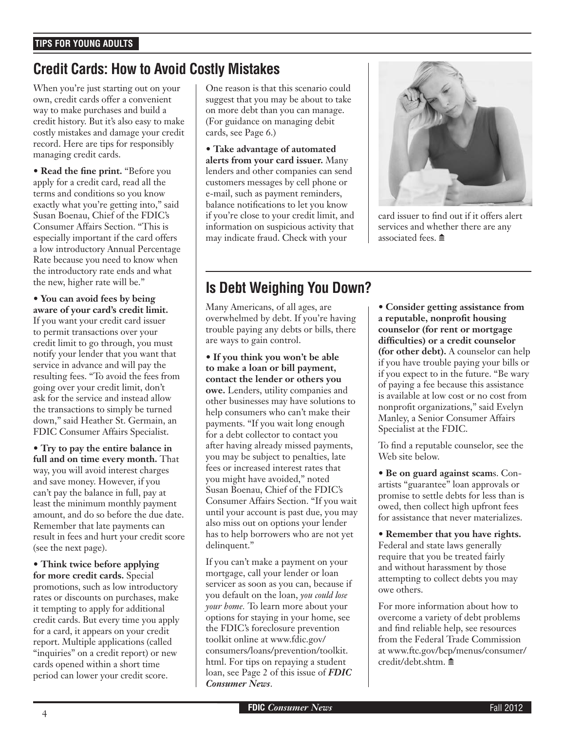### **Credit Cards: How to Avoid Costly Mistakes**

When you're just starting out on your own, credit cards offer a convenient way to make purchases and build a credit history. But it's also easy to make costly mistakes and damage your credit record. Here are tips for responsibly managing credit cards.

**• Read the fine print.** "Before you apply for a credit card, read all the terms and conditions so you know exactly what you're getting into," said Susan Boenau, Chief of the FDIC's Consumer Affairs Section. "This is especially important if the card offers a low introductory Annual Percentage Rate because you need to know when the introductory rate ends and what the new, higher rate will be."

**• You can avoid fees by being aware of your card's credit limit.** If you want your credit card issuer to permit transactions over your credit limit to go through, you must notify your lender that you want that service in advance and will pay the resulting fees. "To avoid the fees from going over your credit limit, don't ask for the service and instead allow the transactions to simply be turned down," said Heather St. Germain, an FDIC Consumer Affairs Specialist.

**• Try to pay the entire balance in full and on time every month.** That way, you will avoid interest charges and save money. However, if you can't pay the balance in full, pay at least the minimum monthly payment amount, and do so before the due date. Remember that late payments can result in fees and hurt your credit score (see the next page).

**• Think twice before applying for more credit cards.** Special promotions, such as low introductory rates or discounts on purchases, make it tempting to apply for additional credit cards. But every time you apply for a card, it appears on your credit report. Multiple applications (called "inquiries" on a credit report) or new cards opened within a short time period can lower your credit score.

One reason is that this scenario could suggest that you may be about to take on more debt than you can manage. (For guidance on managing debit cards, see Page 6.)

**• Take advantage of automated alerts from your card issuer.** Many lenders and other companies can send customers messages by cell phone or e-mail, such as payment reminders, balance notifications to let you know if you're close to your credit limit, and information on suspicious activity that may indicate fraud. Check with your



card issuer to find out if it offers alert services and whether there are any associated fees.

### **Is Debt Weighing You Down?**

Many Americans, of all ages, are overwhelmed by debt. If you're having trouble paying any debts or bills, there are ways to gain control.

**• If you think you won't be able to make a loan or bill payment, contact the lender or others you owe.** Lenders, utility companies and other businesses may have solutions to help consumers who can't make their payments. "If you wait long enough for a debt collector to contact you after having already missed payments, you may be subject to penalties, late fees or increased interest rates that you might have avoided," noted Susan Boenau, Chief of the FDIC's Consumer Affairs Section. "If you wait until your account is past due, you may also miss out on options your lender has to help borrowers who are not yet delinquent."

If you can't make a payment on your mortgage, call your lender or loan servicer as soon as you can, because if you default on the loan, *you could lose your home.* To learn more about your options for staying in your home, see the FDIC's foreclosure prevention toolkit online at www.fdic.gov/ consumers/loans/prevention/toolkit. html. For tips on repaying a student loan, see Page 2 of this issue of *FDIC Consumer News*.

**• Consider getting assistance from a reputable, nonprofit housing counselor (for rent or mortgage difficulties) or a credit counselor (for other debt).** A counselor can help if you have trouble paying your bills or if you expect to in the future. "Be wary of paying a fee because this assistance is available at low cost or no cost from nonprofit organizations," said Evelyn Manley, a Senior Consumer Affairs Specialist at the FDIC.

To find a reputable counselor, see the Web site below.

**• Be on guard against scam**s. Conartists "guarantee" loan approvals or promise to settle debts for less than is owed, then collect high upfront fees for assistance that never materializes.

**• Remember that you have rights.**  Federal and state laws generally require that you be treated fairly and without harassment by those attempting to collect debts you may owe others.

For more information about how to overcome a variety of debt problems and find reliable help, see resources from the Federal Trade Commission at www.ftc.gov/bcp/menus/consumer/ credit/debt.shtm.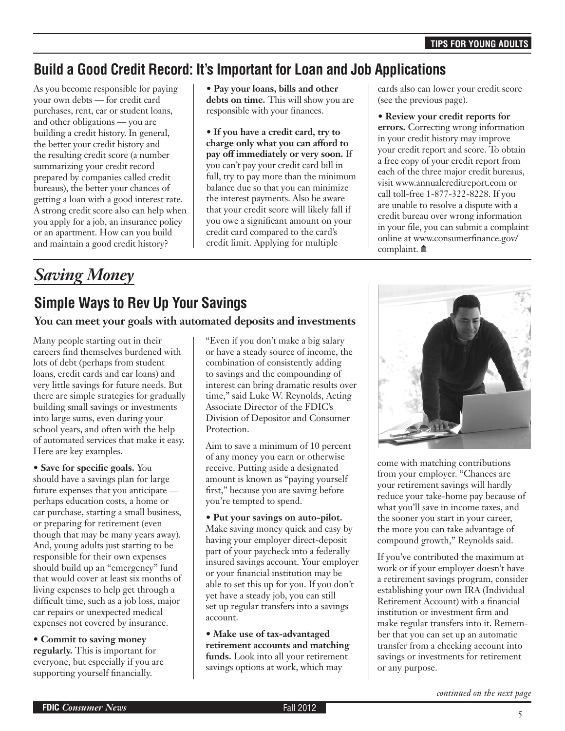### **Build a Good Credit Record: It's Important for Loan and Job Applications**

As you become responsible for paying your own debts — for credit card purchases, rent, car or student loans, and other obligations — you are building a credit history. In general, the better your credit history and the resulting credit score (a number summarizing your credit record prepared by companies called credit bureaus), the better your chances of getting a loan with a good interest rate. A strong credit score also can help when you apply for a job, an insurance policy or an apartment. How can you build and maintain a good credit history?

**• Pay your loans, bills and other debts on time.** This will show you are responsible with your finances.

**• If you have a credit card, try to charge only what you can afford to pay off immediately or very soon.** If you can't pay your credit card bill in full, try to pay more than the minimum balance due so that you can minimize the interest payments. Also be aware that your credit score will likely fall if you owe a significant amount on your credit card compared to the card's credit limit. Applying for multiple

cards also can lower your credit score (see the previous page).

**• Review your credit reports for errors.** Correcting wrong information in your credit history may improve your credit report and score. To obtain a free copy of your credit report from each of the three major credit bureaus, visit www.annualcreditreport.com or call toll-free 1-877-322-8228. If you are unable to resolve a dispute with a credit bureau over wrong information in your file, you can submit a complaint online at www.consumerfinance.gov/ complaint.  $\mathbf{\hat{m}}$ 

# *Saving Money*

### **Simple Ways to Rev Up Your Savings**

### **You can meet your goals with automated deposits and investments**

Many people starting out in their careers find themselves burdened with lots of debt (perhaps from student loans, credit cards and car loans) and very little savings for future needs. But there are simple strategies for gradually building small savings or investments into large sums, even during your school years, and often with the help of automated services that make it easy. Here are key examples.

**• Save for specific goals.** You should have a savings plan for large future expenses that you anticipate perhaps education costs, a home or car purchase, starting a small business, or preparing for retirement (even though that may be many years away). And, young adults just starting to be responsible for their own expenses should build up an "emergency" fund that would cover at least six months of living expenses to help get through a difficult time, such as a job loss, major car repairs or unexpected medical expenses not covered by insurance.

### **• Commit to saving money**

**regularly.** This is important for everyone, but especially if you are supporting yourself financially.

"Even if you don't make a big salary or have a steady source of income, the combination of consistently adding to savings and the compounding of interest can bring dramatic results over time," said Luke W. Reynolds, Acting Associate Director of the FDIC's Division of Depositor and Consumer Protection.

Aim to save a minimum of 10 percent of any money you earn or otherwise receive. Putting aside a designated amount is known as "paying yourself first," because you are saving before you're tempted to spend.

#### **• Put your savings on auto-pilot.**

Make saving money quick and easy by having your employer direct-deposit part of your paycheck into a federally insured savings account. Your employer or your financial institution may be able to set this up for you. If you don't yet have a steady job, you can still set up regular transfers into a savings account.

**• Make use of tax-advantaged retirement accounts and matching funds.** Look into all your retirement savings options at work, which may



come with matching contributions from your employer. "Chances are your retirement savings will hardly reduce your take-home pay because of what you'll save in income taxes, and the sooner you start in your career, the more you can take advantage of compound growth," Reynolds said.

If you've contributed the maximum at work or if your employer doesn't have a retirement savings program, consider establishing your own IRA (Individual Retirement Account) with a financial institution or investment firm and make regular transfers into it. Remember that you can set up an automatic transfer from a checking account into savings or investments for retirement or any purpose.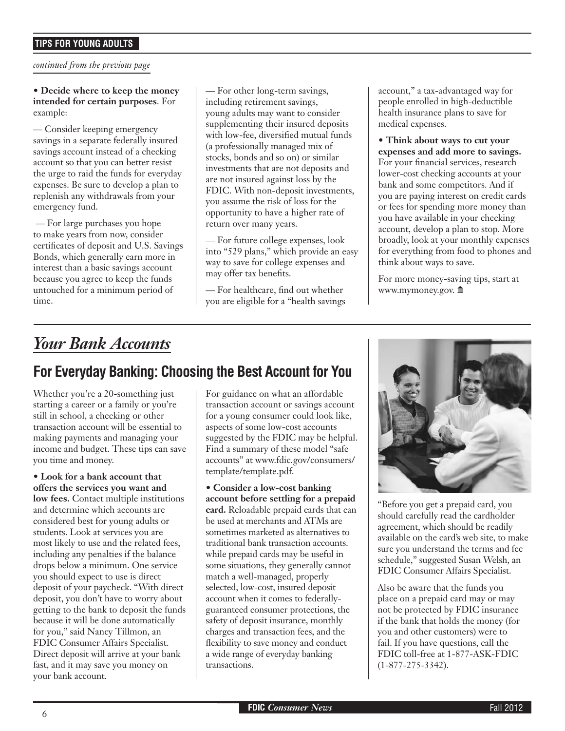*continued from the previous page* 

**• Decide where to keep the money intended for certain purposes**. For example:

— Consider keeping emergency savings in a separate federally insured savings account instead of a checking account so that you can better resist the urge to raid the funds for everyday expenses. Be sure to develop a plan to replenish any withdrawals from your emergency fund.

 — For large purchases you hope to make years from now, consider certificates of deposit and U.S. Savings Bonds, which generally earn more in interest than a basic savings account because you agree to keep the funds untouched for a minimum period of time.

— For other long-term savings, including retirement savings, young adults may want to consider supplementing their insured deposits with low-fee, diversified mutual funds (a professionally managed mix of stocks, bonds and so on) or similar investments that are not deposits and are not insured against loss by the FDIC. With non-deposit investments, you assume the risk of loss for the opportunity to have a higher rate of return over many years.

— For future college expenses, look into "529 plans," which provide an easy way to save for college expenses and may offer tax benefits.

— For healthcare, find out whether you are eligible for a "health savings account," a tax-advantaged way for people enrolled in high-deductible health insurance plans to save for medical expenses.

**• Think about ways to cut your expenses and add more to savings.** For your financial services, research lower-cost checking accounts at your bank and some competitors. And if you are paying interest on credit cards or fees for spending more money than you have available in your checking account, develop a plan to stop. More broadly, look at your monthly expenses for everything from food to phones and think about ways to save.

For more money-saving tips, start at www.mymoney.gov.

### *Your Bank Accounts*

### **For Everyday Banking: Choosing the Best Account for You**

Whether you're a 20-something just starting a career or a family or you're still in school, a checking or other transaction account will be essential to making payments and managing your income and budget. These tips can save you time and money.

**• Look for a bank account that offers the services you want and low fees.** Contact multiple institutions and determine which accounts are considered best for young adults or students. Look at services you are most likely to use and the related fees, including any penalties if the balance drops below a minimum. One service you should expect to use is direct deposit of your paycheck. "With direct deposit, you don't have to worry about getting to the bank to deposit the funds because it will be done automatically for you," said Nancy Tillmon, an FDIC Consumer Affairs Specialist. Direct deposit will arrive at your bank fast, and it may save you money on your bank account.

For guidance on what an affordable transaction account or savings account for a young consumer could look like, aspects of some low-cost accounts suggested by the FDIC may be helpful. Find a summary of these model "safe accounts" at www.fdic.gov/consumers/ template/template.pdf.

**• Consider a low-cost banking account before settling for a prepaid card.** Reloadable prepaid cards that can be used at merchants and ATMs are sometimes marketed as alternatives to traditional bank transaction accounts. while prepaid cards may be useful in some situations, they generally cannot match a well-managed, properly selected, low-cost, insured deposit account when it comes to federallyguaranteed consumer protections, the safety of deposit insurance, monthly charges and transaction fees, and the flexibility to save money and conduct a wide range of everyday banking transactions.



"Before you get a prepaid card, you should carefully read the cardholder agreement, which should be readily available on the card's web site, to make sure you understand the terms and fee schedule," suggested Susan Welsh, an FDIC Consumer Affairs Specialist.

Also be aware that the funds you place on a prepaid card may or may not be protected by FDIC insurance if the bank that holds the money (for you and other customers) were to fail. If you have questions, call the FDIC toll-free at 1-877-ASK-FDIC (1-877-275-3342).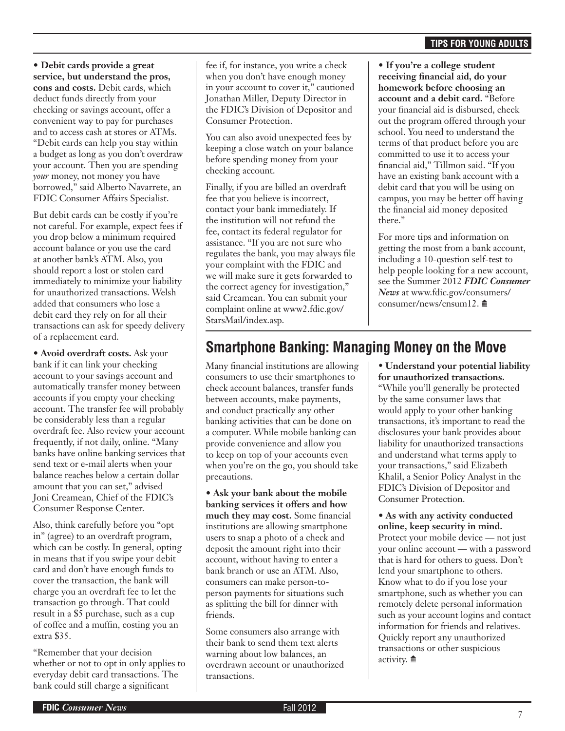**• Debit cards provide a great service, but understand the pros, cons and costs.** Debit cards, which deduct funds directly from your checking or savings account, offer a convenient way to pay for purchases and to access cash at stores or ATMs. "Debit cards can help you stay within a budget as long as you don't overdraw your account. Then you are spending *your* money, not money you have borrowed," said Alberto Navarrete, an FDIC Consumer Affairs Specialist.

But debit cards can be costly if you're not careful. For example, expect fees if you drop below a minimum required account balance or you use the card at another bank's ATM. Also, you should report a lost or stolen card immediately to minimize your liability for unauthorized transactions. Welsh added that consumers who lose a debit card they rely on for all their transactions can ask for speedy delivery of a replacement card.

**• Avoid overdraft costs.** Ask your bank if it can link your checking account to your savings account and automatically transfer money between accounts if you empty your checking account. The transfer fee will probably be considerably less than a regular overdraft fee. Also review your account frequently, if not daily, online. "Many banks have online banking services that send text or e-mail alerts when your balance reaches below a certain dollar amount that you can set," advised Joni Creamean, Chief of the FDIC's Consumer Response Center.

Also, think carefully before you "opt in" (agree) to an overdraft program, which can be costly. In general, opting in means that if you swipe your debit card and don't have enough funds to cover the transaction, the bank will charge you an overdraft fee to let the transaction go through. That could result in a \$5 purchase, such as a cup of coffee and a muffin, costing you an extra \$35.

"Remember that your decision whether or not to opt in only applies to everyday debit card transactions. The bank could still charge a significant

fee if, for instance, you write a check when you don't have enough money in your account to cover it," cautioned Jonathan Miller, Deputy Director in the FDIC's Division of Depositor and Consumer Protection.

You can also avoid unexpected fees by keeping a close watch on your balance before spending money from your checking account.

Finally, if you are billed an overdraft fee that you believe is incorrect, contact your bank immediately. If the institution will not refund the fee, contact its federal regulator for assistance. "If you are not sure who regulates the bank, you may always file your complaint with the FDIC and we will make sure it gets forwarded to the correct agency for investigation," said Creamean. You can submit your complaint online at www2.fdic.gov/ StarsMail/index.asp.

**• If you're a college student receiving financial aid, do your homework before choosing an account and a debit card.** "Before your financial aid is disbursed, check out the program offered through your school. You need to understand the terms of that product before you are committed to use it to access your financial aid," Tillmon said. "If you have an existing bank account with a debit card that you will be using on campus, you may be better off having the financial aid money deposited there."

For more tips and information on getting the most from a bank account, including a 10-question self-test to help people looking for a new account, see the Summer 2012 *FDIC Consumer News* at www.fdic.gov/consumers/ consumer/news/cnsum12.

### **Smartphone Banking: Managing Money on the Move**

Many financial institutions are allowing consumers to use their smartphones to check account balances, transfer funds between accounts, make payments, and conduct practically any other banking activities that can be done on a computer. While mobile banking can provide convenience and allow you to keep on top of your accounts even when you're on the go, you should take precautions.

**• Ask your bank about the mobile banking services it offers and how much they may cost.** Some financial institutions are allowing smartphone users to snap a photo of a check and deposit the amount right into their account, without having to enter a bank branch or use an ATM. Also, consumers can make person-toperson payments for situations such as splitting the bill for dinner with friends.

Some consumers also arrange with their bank to send them text alerts warning about low balances, an overdrawn account or unauthorized transactions.

• **Understand your potential liability for unauthorized transactions.**  "While you'll generally be protected by the same consumer laws that would apply to your other banking transactions, it's important to read the disclosures your bank provides about liability for unauthorized transactions and understand what terms apply to your transactions," said Elizabeth Khalil, a Senior Policy Analyst in the FDIC's Division of Depositor and Consumer Protection.

**• As with any activity conducted online, keep security in mind.**  Protect your mobile device — not just your online account — with a password that is hard for others to guess. Don't lend your smartphone to others. Know what to do if you lose your smartphone, such as whether you can remotely delete personal information such as your account logins and contact information for friends and relatives. Quickly report any unauthorized transactions or other suspicious activity. **血**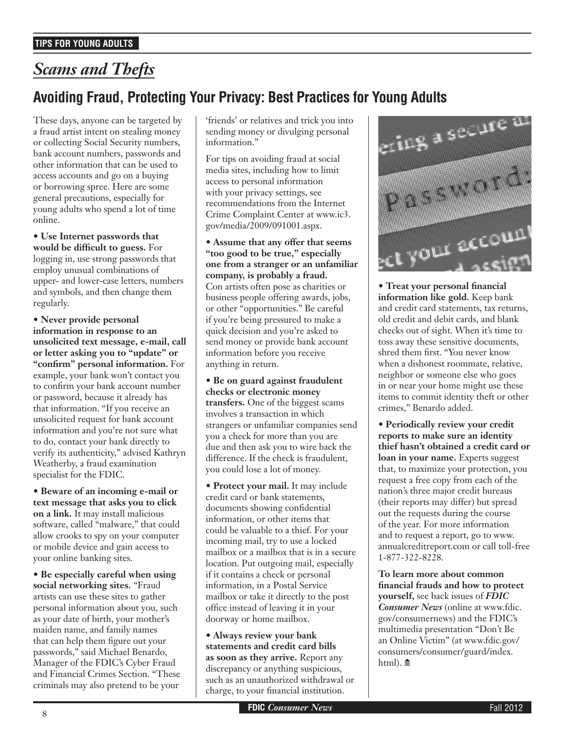### *Scams and Thefts*

### **Avoiding Fraud, Protecting Your Privacy: Best Practices for Young Adults**

These days, anyone can be targeted by a fraud artist intent on stealing money or collecting Social Security numbers, bank account numbers, passwords and other information that can be used to access accounts and go on a buying or borrowing spree. Here are some general precautions, especially for young adults who spend a lot of time online.

**• Use Internet passwords that would be difficult to guess.** For logging in, use strong passwords that employ unusual combinations of upper- and lower-case letters, numbers and symbols, and then change them regularly.

**• Never provide personal information in response to an unsolicited text message, e-mail, call or letter asking you to "update" or "confirm" personal information.** For example, your bank won't contact you to confirm your bank account number or password, because it already has that information. "If you receive an unsolicited request for bank account information and you're not sure what to do, contact your bank directly to verify its authenticity," advised Kathryn Weatherby, a fraud examination specialist for the FDIC.

**• Beware of an incoming e-mail or text message that asks you to click on a link.** It may install malicious software, called "malware," that could allow crooks to spy on your computer or mobile device and gain access to your online banking sites.

**• Be especially careful when using social networking sites.** "Fraud artists can use these sites to gather personal information about you, such as your date of birth, your mother's maiden name, and family names that can help them figure out your passwords," said Michael Benardo, Manager of the FDIC's Cyber Fraud and Financial Crimes Section. "These criminals may also pretend to be your

'friends' or relatives and trick you into sending money or divulging personal information."

For tips on avoiding fraud at social media sites, including how to limit access to personal information with your privacy settings, see recommendations from the Internet Crime Complaint Center at www.ic3. gov/media/2009/091001.aspx.

**• Assume that any offer that seems "too good to be true," especially one from a stranger or an unfamiliar company, is probably a fraud.**  Con artists often pose as charities or business people offering awards, jobs, or other "opportunities." Be careful if you're being pressured to make a quick decision and you're asked to send money or provide bank account information before you receive anything in return.

**• Be on guard against fraudulent checks or electronic money transfers.** One of the biggest scams involves a transaction in which strangers or unfamiliar companies send you a check for more than you are due and then ask you to wire back the difference. If the check is fraudulent, you could lose a lot of money.

**• Protect your mail.** It may include credit card or bank statements, documents showing confidential information, or other items that could be valuable to a thief. For your incoming mail, try to use a locked mailbox or a mailbox that is in a secure location. Put outgoing mail, especially if it contains a check or personal information, in a Postal Service mailbox or take it directly to the post office instead of leaving it in your doorway or home mailbox.

**• Always review your bank statements and credit card bills as soon as they arrive.** Report any discrepancy or anything suspicious, such as an unauthorized withdrawal or charge, to your financial institution.



**• Treat your personal financial information like gold.** Keep bank and credit card statements, tax returns, old credit and debit cards, and blank checks out of sight. When it's time to toss away these sensitive documents, shred them first. "You never know when a dishonest roommate, relative, neighbor or someone else who goes in or near your home might use these items to commit identity theft or other crimes," Benardo added.

**• Periodically review your credit reports to make sure an identity thief hasn't obtained a credit card or loan in your name.** Experts suggest that, to maximize your protection, you request a free copy from each of the nation's three major credit bureaus (their reports may differ) but spread out the requests during the course of the year. For more information and to request a report, go to www. annualcreditreport.com or call toll-free 1-877-322-8228.

**To learn more about common financial frauds and how to protect yourself,** see back issues of *FDIC Consumer News* (online at www.fdic. gov/consumernews) and the FDIC's multimedia presentation "Don't Be an Online Victim" (at www.fdic.gov/ consumers/consumer/guard/index. html). 血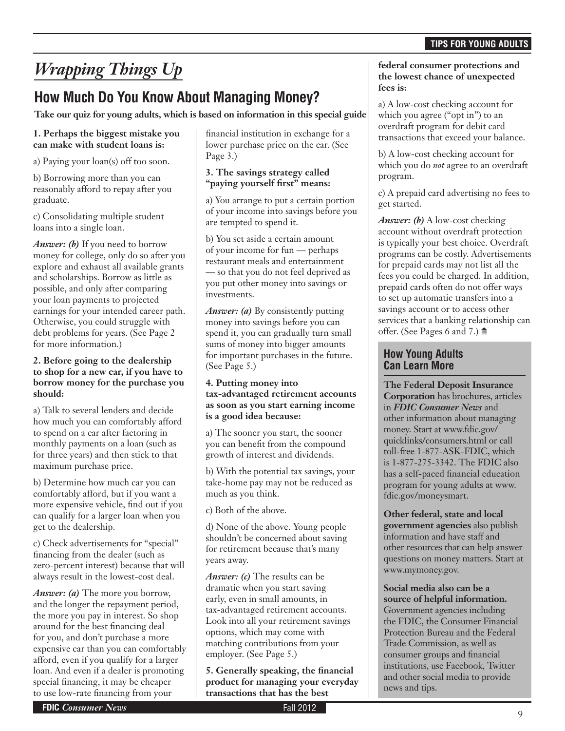# *Wrapping Things Up*

### **How Much Do You Know About Managing Money?**

**Take our quiz for young adults, which is based on information in this special guide**

#### **1. Perhaps the biggest mistake you can make with student loans is:**

a) Paying your loan(s) off too soon.

b) Borrowing more than you can reasonably afford to repay after you graduate.

c) Consolidating multiple student loans into a single loan.

*Answer: (b)* If you need to borrow money for college, only do so after you explore and exhaust all available grants and scholarships. Borrow as little as possible, and only after comparing your loan payments to projected earnings for your intended career path. Otherwise, you could struggle with debt problems for years. (See Page 2 for more information.)

#### **2. Before going to the dealership to shop for a new car, if you have to borrow money for the purchase you should:**

a) Talk to several lenders and decide how much you can comfortably afford to spend on a car after factoring in monthly payments on a loan (such as for three years) and then stick to that maximum purchase price.

b) Determine how much car you can comfortably afford, but if you want a more expensive vehicle, find out if you can qualify for a larger loan when you get to the dealership.

c) Check advertisements for "special" financing from the dealer (such as zero-percent interest) because that will always result in the lowest-cost deal.

*Answer: (a)* The more you borrow, and the longer the repayment period, the more you pay in interest. So shop around for the best financing deal for you, and don't purchase a more expensive car than you can comfortably afford, even if you qualify for a larger loan. And even if a dealer is promoting special financing, it may be cheaper to use low-rate financing from your

financial institution in exchange for a lower purchase price on the car. (See Page 3.)

#### **3. The savings strategy called "paying yourself first" means:**

a) You arrange to put a certain portion of your income into savings before you are tempted to spend it.

b) You set aside a certain amount of your income for fun — perhaps restaurant meals and entertainment — so that you do not feel deprived as you put other money into savings or investments.

*Answer: (a)* By consistently putting money into savings before you can spend it, you can gradually turn small sums of money into bigger amounts for important purchases in the future. (See Page 5.)

**4. Putting money into tax-advantaged retirement accounts as soon as you start earning income is a good idea because:**

a) The sooner you start, the sooner you can benefit from the compound growth of interest and dividends.

b) With the potential tax savings, your take-home pay may not be reduced as much as you think.

c) Both of the above.

d) None of the above. Young people shouldn't be concerned about saving for retirement because that's many years away.

*Answer: (c)* The results can be dramatic when you start saving early, even in small amounts, in tax-advantaged retirement accounts. Look into all your retirement savings options, which may come with matching contributions from your employer. (See Page 5.)

**5. Generally speaking, the financial product for managing your everyday transactions that has the best** 

#### **federal consumer protections and the lowest chance of unexpected fees is:**

a) A low-cost checking account for which you agree ("opt in") to an overdraft program for debit card transactions that exceed your balance.

b) A low-cost checking account for which you do *not* agree to an overdraft program.

c) A prepaid card advertising no fees to get started.

*Answer: (b)* A low-cost checking account without overdraft protection is typically your best choice. Overdraft programs can be costly. Advertisements for prepaid cards may not list all the fees you could be charged. In addition, prepaid cards often do not offer ways to set up automatic transfers into a savings account or to access other services that a banking relationship can offer. (See Pages 6 and 7.)

### **How Young Adults Can Learn More**

**The Federal Deposit Insurance Corporation** has brochures, articles in *FDIC Consumer News* and other information about managing money. Start at www.fdic.gov/ quicklinks/consumers.html or call toll-free 1-877-ASK-FDIC, which is 1-877-275-3342. The FDIC also has a self-paced financial education program for young adults at www. fdic.gov/moneysmart.

**Other federal, state and local government agencies** also publish information and have staff and other resources that can help answer questions on money matters. Start at www.mymoney.gov.

**Social media also can be a source of helpful information.**  Government agencies including the FDIC, the Consumer Financial Protection Bureau and the Federal Trade Commission, as well as consumer groups and financial institutions, use Facebook, Twitter and other social media to provide news and tips.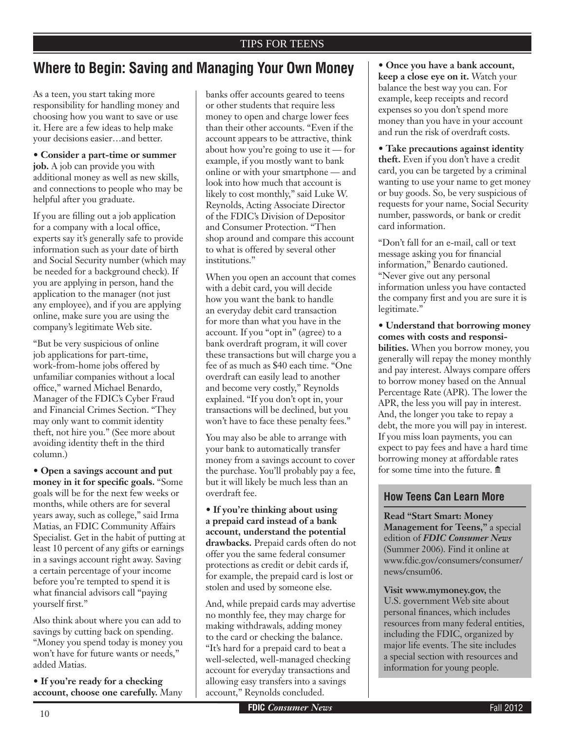### **Where to Begin: Saving and Managing Your Own Money**

As a teen, you start taking more responsibility for handling money and choosing how you want to save or use it. Here are a few ideas to help make your decisions easier…and better.

**• Consider a part-time or summer job.** A job can provide you with additional money as well as new skills, and connections to people who may be helpful after you graduate.

If you are filling out a job application for a company with a local office, experts say it's generally safe to provide information such as your date of birth and Social Security number (which may be needed for a background check). If you are applying in person, hand the application to the manager (not just any employee), and if you are applying online, make sure you are using the company's legitimate Web site.

"But be very suspicious of online job applications for part-time, work-from-home jobs offered by unfamiliar companies without a local office," warned Michael Benardo, Manager of the FDIC's Cyber Fraud and Financial Crimes Section. "They may only want to commit identity theft, not hire you." (See more about avoiding identity theft in the third column.)

**• Open a savings account and put money in it for specific goals.** "Some goals will be for the next few weeks or months, while others are for several years away, such as college," said Irma Matias, an FDIC Community Affairs Specialist. Get in the habit of putting at least 10 percent of any gifts or earnings in a savings account right away. Saving a certain percentage of your income before you're tempted to spend it is what financial advisors call "paying yourself first."

Also think about where you can add to savings by cutting back on spending. "Money you spend today is money you won't have for future wants or needs," added Matias.

**• If you're ready for a checking account, choose one carefully.** Many banks offer accounts geared to teens or other students that require less money to open and charge lower fees than their other accounts. "Even if the account appears to be attractive, think about how you're going to use it — for example, if you mostly want to bank online or with your smartphone — and look into how much that account is likely to cost monthly," said Luke W. Reynolds, Acting Associate Director of the FDIC's Division of Depositor and Consumer Protection. "Then shop around and compare this account to what is offered by several other institutions."

When you open an account that comes with a debit card, you will decide how you want the bank to handle an everyday debit card transaction for more than what you have in the account. If you "opt in" (agree) to a bank overdraft program, it will cover these transactions but will charge you a fee of as much as \$40 each time. "One overdraft can easily lead to another and become very costly," Reynolds explained. "If you don't opt in, your transactions will be declined, but you won't have to face these penalty fees."

You may also be able to arrange with your bank to automatically transfer money from a savings account to cover the purchase. You'll probably pay a fee, but it will likely be much less than an overdraft fee.

**• If you're thinking about using a prepaid card instead of a bank account, understand the potential drawbacks.** Prepaid cards often do not offer you the same federal consumer protections as credit or debit cards if, for example, the prepaid card is lost or stolen and used by someone else.

And, while prepaid cards may advertise no monthly fee, they may charge for making withdrawals, adding money to the card or checking the balance. "It's hard for a prepaid card to beat a well-selected, well-managed checking account for everyday transactions and allowing easy transfers into a savings account," Reynolds concluded.

**• Once you have a bank account, keep a close eye on it.** Watch your balance the best way you can. For example, keep receipts and record expenses so you don't spend more money than you have in your account and run the risk of overdraft costs.

**• Take precautions against identity theft.** Even if you don't have a credit card, you can be targeted by a criminal wanting to use your name to get money or buy goods. So, be very suspicious of requests for your name, Social Security number, passwords, or bank or credit card information.

"Don't fall for an e-mail, call or text message asking you for financial information," Benardo cautioned. "Never give out any personal information unless you have contacted the company first and you are sure it is legitimate."

**• Understand that borrowing money comes with costs and responsibilities.** When you borrow money, you generally will repay the money monthly and pay interest. Always compare offers to borrow money based on the Annual Percentage Rate (APR). The lower the APR, the less you will pay in interest. And, the longer you take to repay a debt, the more you will pay in interest. If you miss loan payments, you can expect to pay fees and have a hard time borrowing money at affordable rates for some time into the future.

### **How Teens Can Learn More**

**Read "Start Smart: Money Management for Teens,"** a special edition of *FDIC Consumer News* (Summer 2006). Find it online at www.fdic.gov/consumers/consumer/ news/cnsum06.

**Visit www.mymoney.gov,** the U.S. government Web site about personal finances, which includes resources from many federal entities, including the FDIC, organized by major life events. The site includes a special section with resources and information for young people.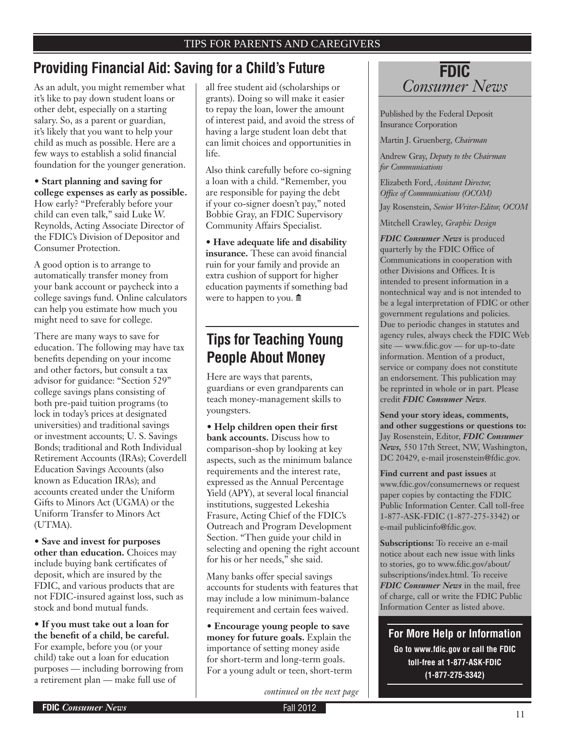### **Providing Financial Aid: Saving for a Child's Future**

As an adult, you might remember what it's like to pay down student loans or other debt, especially on a starting salary. So, as a parent or guardian, it's likely that you want to help your child as much as possible. Here are a few ways to establish a solid financial foundation for the younger generation.

**• Start planning and saving for college expenses as early as possible.**  How early? "Preferably before your child can even talk," said Luke W. Reynolds, Acting Associate Director of the FDIC's Division of Depositor and Consumer Protection.

A good option is to arrange to automatically transfer money from your bank account or paycheck into a college savings fund. Online calculators can help you estimate how much you might need to save for college.

There are many ways to save for education. The following may have tax benefits depending on your income and other factors, but consult a tax advisor for guidance: "Section 529" college savings plans consisting of both pre-paid tuition programs (to lock in today's prices at designated universities) and traditional savings or investment accounts; U. S. Savings Bonds; traditional and Roth Individual Retirement Accounts (IRAs); Coverdell Education Savings Accounts (also known as Education IRAs); and accounts created under the Uniform Gifts to Minors Act (UGMA) or the Uniform Transfer to Minors Act (UTMA).

**• Save and invest for purposes other than education.** Choices may include buying bank certificates of deposit, which are insured by the FDIC, and various products that are not FDIC-insured against loss, such as stock and bond mutual funds.

**• If you must take out a loan for the benefit of a child, be careful.**  For example, before you (or your child) take out a loan for education purposes — including borrowing from a retirement plan — make full use of

all free student aid (scholarships or grants). Doing so will make it easier to repay the loan, lower the amount of interest paid, and avoid the stress of having a large student loan debt that can limit choices and opportunities in life.

Also think carefully before co-signing a loan with a child. "Remember, you are responsible for paying the debt if your co-signer doesn't pay," noted Bobbie Gray, an FDIC Supervisory Community Affairs Specialist.

**• Have adequate life and disability insurance.** These can avoid financial ruin for your family and provide an extra cushion of support for higher education payments if something bad were to happen to you.

### **Tips for Teaching Young People About Money**

Here are ways that parents, guardians or even grandparents can teach money-management skills to youngsters.

**• Help children open their first bank accounts.** Discuss how to comparison-shop by looking at key aspects, such as the minimum balance requirements and the interest rate, expressed as the Annual Percentage Yield (APY), at several local financial institutions, suggested Lekeshia Frasure, Acting Chief of the FDIC's Outreach and Program Development Section. "Then guide your child in selecting and opening the right account for his or her needs," she said.

Many banks offer special savings accounts for students with features that may include a low minimum-balance requirement and certain fees waived.

**• Encourage young people to save money for future goals.** Explain the importance of setting money aside for short-term and long-term goals. For a young adult or teen, short-term

*continued on the next page*



Published by the Federal Deposit Insurance Corporation

Martin J. Gruenberg, *Chairman*

Andrew Gray, *Deputy to the Chairman for Communications*

Elizabeth Ford, *Assistant Director, Office of Communications (OCOM)*

Jay Rosenstein, *Senior Writer-Editor, OCOM*

Mitchell Crawley, *Graphic Design*

*FDIC Consumer News* is produced quarterly by the FDIC Office of Communications in cooperation with other Divisions and Offices. It is intended to present information in a nontechnical way and is not intended to be a legal interpretation of FDIC or other government regulations and policies. Due to periodic changes in statutes and agency rules, always check the FDIC Web site — www.fdic.gov — for up-to-date information. Mention of a product, service or company does not constitute an endorsement. This publication may be reprinted in whole or in part. Please credit *FDIC Consumer News*.

**Send your story ideas, comments, and other suggestions or questions to:** Jay Rosenstein, Editor, *FDIC Consumer News,* 550 17th Street, NW, Washington, DC 20429, e-mail jrosenstein@fdic.gov.

**Find current and past issues** at www.fdic.gov/consumernews or request paper copies by contacting the FDIC Public Information Center. Call toll-free 1-877-ASK-FDIC (1-877-275-3342) or e-mail publicinfo@fdic.gov.

**Subscriptions:** To receive an e-mail notice about each new issue with links to stories, go to www.fdic.gov/about/ subscriptions/index.html. To receive *FDIC Consumer News* in the mail, free of charge, call or write the FDIC Public Information Center as listed above.

**For More Help or Information**

**Go to www.fdic.gov or call the FDIC toll-free at 1-877-ASK-FDIC (1-877-275-3342)**